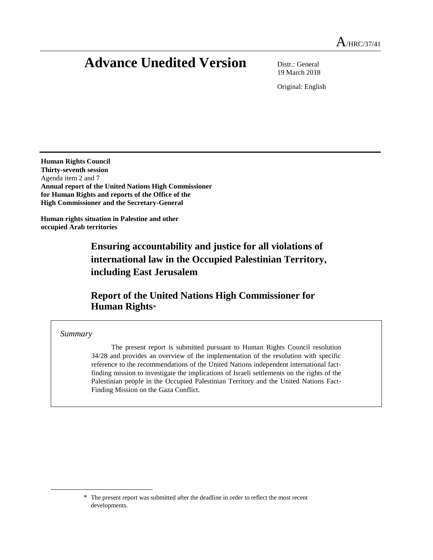# **Advance Unedited Version** Distr.: General

19 March 2018

Original: English

**Human Rights Council Thirty-seventh session**  Agenda item 2 and 7 **Annual report of the United Nations High Commissioner for Human Rights and reports of the Office of the High Commissioner and the Secretary-General** 

**Human rights situation in Palestine and other occupied Arab territories**

> **Ensuring accountability and justice for all violations of international law in the Occupied Palestinian Territory, including East Jerusalem**

# **Report of the United Nations High Commissioner for Human Rights**\*

#### *Summary*

 $\overline{\phantom{a}}$ 

The present report is submitted pursuant to Human Rights Council resolution 34/28 and provides an overview of the implementation of the resolution with specific reference to the recommendations of the United Nations independent international factfinding mission to investigate the implications of Israeli settlements on the rights of the Palestinian people in the Occupied Palestinian Territory and the United Nations Fact-Finding Mission on the Gaza Conflict.

<sup>\*</sup> The present report was submitted after the deadline in order to reflect the most recent developments.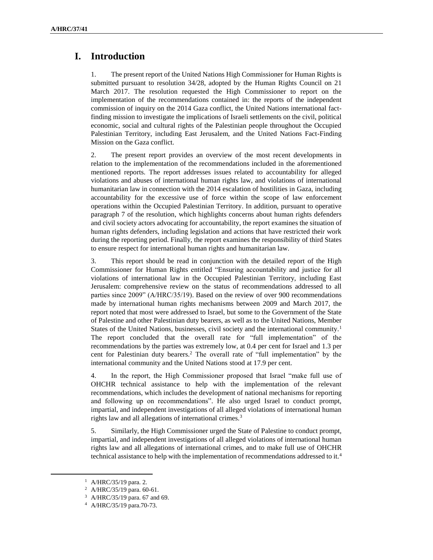# **I. Introduction**

1. The present report of the United Nations High Commissioner for Human Rights is submitted pursuant to resolution 34/28, adopted by the Human Rights Council on 21 March 2017. The resolution requested the High Commissioner to report on the implementation of the recommendations contained in: the reports of the independent commission of inquiry on the 2014 Gaza conflict, the United Nations international factfinding mission to investigate the implications of Israeli settlements on the civil, political economic, social and cultural rights of the Palestinian people throughout the Occupied Palestinian Territory, including East Jerusalem, and the United Nations Fact-Finding Mission on the Gaza conflict.

2. The present report provides an overview of the most recent developments in relation to the implementation of the recommendations included in the aforementioned mentioned reports. The report addresses issues related to accountability for alleged violations and abuses of international human rights law, and violations of international humanitarian law in connection with the 2014 escalation of hostilities in Gaza, including accountability for the excessive use of force within the scope of law enforcement operations within the Occupied Palestinian Territory. In addition, pursuant to operative paragraph 7 of the resolution, which highlights concerns about human rights defenders and civil society actors advocating for accountability, the report examines the situation of human rights defenders, including legislation and actions that have restricted their work during the reporting period. Finally, the report examines the responsibility of third States to ensure respect for international human rights and humanitarian law.

3. This report should be read in conjunction with the detailed report of the High Commissioner for Human Rights entitled "Ensuring accountability and justice for all violations of international law in the Occupied Palestinian Territory, including East Jerusalem: comprehensive review on the status of recommendations addressed to all parties since 2009" (A/HRC/35/19). Based on the review of over 900 recommendations made by international human rights mechanisms between 2009 and March 2017, the report noted that most were addressed to Israel, but some to the Government of the State of Palestine and other Palestinian duty bearers, as well as to the United Nations, Member States of the United Nations, businesses, civil society and the international community.<sup>1</sup> The report concluded that the overall rate for "full implementation" of the recommendations by the parties was extremely low, at 0.4 per cent for Israel and 1.3 per cent for Palestinian duty bearers.<sup>2</sup> The overall rate of "full implementation" by the international community and the United Nations stood at 17.9 per cent.

4. In the report, the High Commissioner proposed that Israel "make full use of OHCHR technical assistance to help with the implementation of the relevant recommendations, which includes the development of national mechanisms for reporting and following up on recommendations". He also urged Israel to conduct prompt, impartial, and independent investigations of all alleged violations of international human rights law and all allegations of international crimes.<sup>3</sup>

5. Similarly, the High Commissioner urged the State of Palestine to conduct prompt, impartial, and independent investigations of all alleged violations of international human rights law and all allegations of international crimes, and to make full use of OHCHR technical assistance to help with the implementation of recommendations addressed to it.<sup>4</sup>

<sup>1</sup> A/HRC/35/19 para. 2.

<sup>2</sup> A/HRC/35/19 para. 60-61.

<sup>3</sup> A/HRC/35/19 para. 67 and 69.

<sup>4</sup> A/HRC/35/19 para.70-73.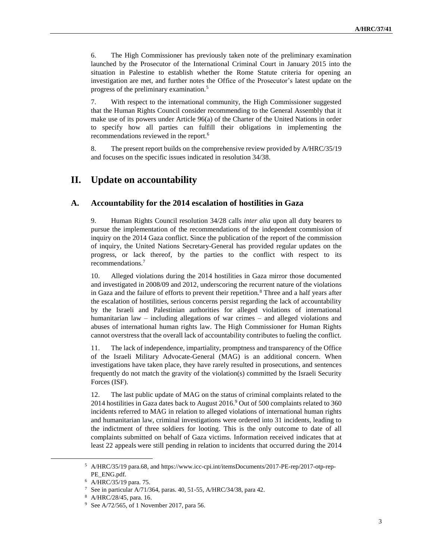6. The High Commissioner has previously taken note of the preliminary examination launched by the Prosecutor of the International Criminal Court in January 2015 into the situation in Palestine to establish whether the Rome Statute criteria for opening an investigation are met, and further notes the Office of the Prosecutor's latest update on the progress of the preliminary examination.<sup>5</sup>

7. With respect to the international community, the High Commissioner suggested that the Human Rights Council consider recommending to the General Assembly that it make use of its powers under Article 96(a) of the Charter of the United Nations in order to specify how all parties can fulfill their obligations in implementing the recommendations reviewed in the report.<sup>6</sup>

8. The present report builds on the comprehensive review provided by A/HRC/35/19 and focuses on the specific issues indicated in resolution 34/38.

## **II. Update on accountability**

#### **A. Accountability for the 2014 escalation of hostilities in Gaza**

9. Human Rights Council resolution 34/28 calls *inter alia* upon all duty bearers to pursue the implementation of the recommendations of the independent commission of inquiry on the 2014 Gaza conflict. Since the publication of the report of the commission of inquiry, the United Nations Secretary-General has provided regular updates on the progress, or lack thereof, by the parties to the conflict with respect to its recommendations. 7

10. Alleged violations during the 2014 hostilities in Gaza mirror those documented and investigated in 2008/09 and 2012, underscoring the recurrent nature of the violations in Gaza and the failure of efforts to prevent their repetition.<sup>8</sup> Three and a half years after the escalation of hostilities, serious concerns persist regarding the lack of accountability by the Israeli and Palestinian authorities for alleged violations of international humanitarian law – including allegations of war crimes – and alleged violations and abuses of international human rights law. The High Commissioner for Human Rights cannot overstress that the overall lack of accountability contributes to fueling the conflict.

11. The lack of independence, impartiality, promptness and transparency of the Office of the Israeli Military Advocate-General (MAG) is an additional concern. When investigations have taken place, they have rarely resulted in prosecutions, and sentences frequently do not match the gravity of the violation(s) committed by the Israeli Security Forces (ISF).

12. The last public update of MAG on the status of criminal complaints related to the 2014 hostilities in Gaza dates back to August 2016.<sup>9</sup> Out of 500 complaints related to 360 incidents referred to MAG in relation to alleged violations of international human rights and humanitarian law, criminal investigations were ordered into 31 incidents, leading to the indictment of three soldiers for looting. This is the only outcome to date of all complaints submitted on behalf of Gaza victims. Information received indicates that at least 22 appeals were still pending in relation to incidents that occurred during the 2014

l

<sup>5</sup> A/HRC/35/19 para.68, and https://www.icc-cpi.int/itemsDocuments/2017-PE-rep/2017-otp-rep-PE\_ENG.pdf.

<sup>6</sup> A/HRC/35/19 para. 75.

<sup>7</sup> See in particular A/71/364, paras. 40, 51-55, A/HRC/34/38, para 42.

<sup>8</sup> A/HRC/28/45, para. 16.

<sup>9</sup> See A/72/565, of 1 November 2017, para 56.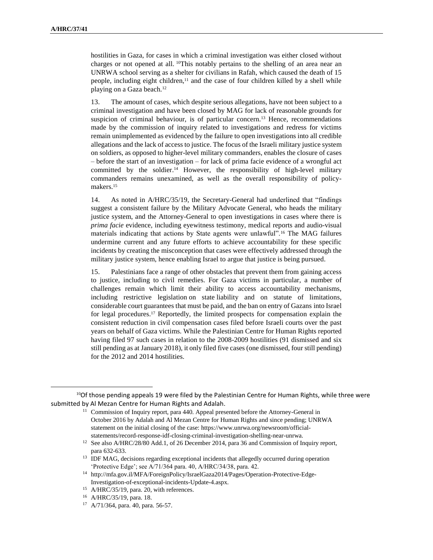hostilities in Gaza, for cases in which a criminal investigation was either closed without charges or not opened at all. <sup>10</sup>This notably pertains to the shelling of an area near an UNRWA school serving as a shelter for civilians in Rafah, which caused the death of 15 people, including eight children, $11$  and the case of four children killed by a shell while playing on a Gaza beach.<sup>12</sup>

13. The amount of cases, which despite serious allegations, have not been subject to a criminal investigation and have been closed by MAG for lack of reasonable grounds for suspicion of criminal behaviour, is of particular concern. <sup>13</sup> Hence, recommendations made by the commission of inquiry related to investigations and redress for victims remain unimplemented as evidenced by the failure to open investigations into all credible allegations and the lack of access to justice. The focus of the Israeli military justice system on soldiers, as opposed to higher-level military commanders, enables the closure of cases – before the start of an investigation – for lack of prima facie evidence of a wrongful act committed by the soldier. <sup>14</sup> However, the responsibility of high-level military commanders remains unexamined, as well as the overall responsibility of policymakers.<sup>15</sup>

14. As noted in A/HRC/35/19, the Secretary-General had underlined that "findings suggest a consistent failure by the Military Advocate General, who heads the military justice system, and the Attorney-General to open investigations in cases where there is *prima facie* evidence, including eyewitness testimony, medical reports and audio-visual materials indicating that actions by State agents were unlawful".<sup>16</sup> The MAG failures undermine current and any future efforts to achieve accountability for these specific incidents by creating the misconception that cases were effectively addressed through the military justice system, hence enabling Israel to argue that justice is being pursued.

15. Palestinians face a range of other obstacles that prevent them from gaining access to justice, including to civil remedies. For Gaza victims in particular, a number of challenges remain which limit their ability to access accountability mechanisms, including restrictive legislation on state liability and on statute of limitations, considerable court guarantees that must be paid, and the ban on entry of Gazans into Israel for legal procedures. <sup>17</sup> Reportedly, the limited prospects for compensation explain the consistent reduction in civil compensation cases filed before Israeli courts over the past years on behalf of Gaza victims. While the Palestinian Centre for Human Rights reported having filed 97 such cases in relation to the 2008-2009 hostilities (91 dismissed and six still pending as at January 2018), it only filed five cases (one dismissed, four still pending) for the 2012 and 2014 hostilities.

 $10$ Of those pending appeals 19 were filed by the Palestinian Centre for Human Rights, while three were submitted by Al Mezan Centre for Human Rights and Adalah.

<sup>&</sup>lt;sup>11</sup> Commission of Inquiry report, para 440. Appeal presented before the Attorney-General in October 2016 by Adalah and Al Mezan Centre for Human Rights and since pending; UNRWA statement on the initial closing of the case: https://www.unrwa.org/newsroom/officialstatements/record-response-idf-closing-criminal-investigation-shelling-near-unrwa.

<sup>12</sup> See also A/HRC/28/80 Add.1, of 26 December 2014, para 36 and Commission of Inquiry report, para 632-633.

<sup>&</sup>lt;sup>13</sup> IDF MAG, decisions regarding exceptional incidents that allegedly occurred during operation 'Protective Edge'; see A/71/364 para. 40, A/HRC/34/38, para. 42.

<sup>14</sup> http://mfa.gov.il/MFA/ForeignPolicy/IsraelGaza2014/Pages/Operation-Protective-Edge-Investigation-of-exceptional-incidents-Update-4.aspx.

<sup>15</sup> A/HRC/35/19, para. 20, with references.

<sup>16</sup> A/HRC/35/19, para. 18.

<sup>17</sup> A/71/364, para. 40, para. 56-57.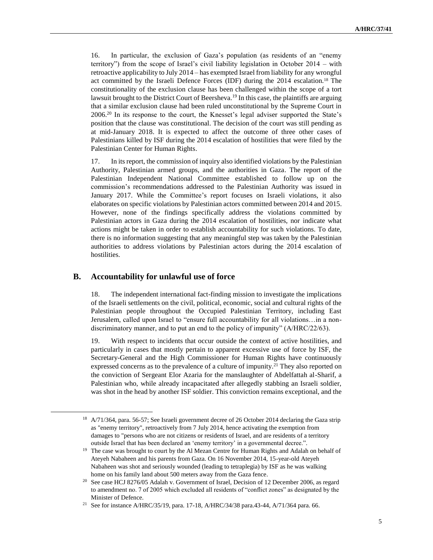16. In particular, the exclusion of Gaza's population (as residents of an "enemy territory") from the scope of Israel's civil liability legislation in October 2014 – with retroactive applicability to July 2014 – has exempted Israel from liability for any wrongful act committed by the Israeli Defence Forces (IDF) during the 2014 escalation.<sup>18</sup> The constitutionality of the exclusion clause has been challenged within the scope of a tort lawsuit brought to the District Court of Beersheva.<sup>19</sup> In this case, the plaintiffs are arguing that a similar exclusion clause had been ruled unconstitutional by the Supreme Court in 2006.<sup>20</sup> In its response to the court, the Knesset's legal adviser supported the State's position that the clause was constitutional. The decision of the court was still pending as at mid-January 2018. It is expected to affect the outcome of three other cases of Palestinians killed by ISF during the 2014 escalation of hostilities that were filed by the Palestinian Center for Human Rights.

17. In its report, the commission of inquiry also identified violations by the Palestinian Authority, Palestinian armed groups, and the authorities in Gaza. The report of the Palestinian Independent National Committee established to follow up on the commission's recommendations addressed to the Palestinian Authority was issued in January 2017. While the Committee's report focuses on Israeli violations, it also elaborates on specific violations by Palestinian actors committed between 2014 and 2015. However, none of the findings specifically address the violations committed by Palestinian actors in Gaza during the 2014 escalation of hostilities, nor indicate what actions might be taken in order to establish accountability for such violations. To date, there is no information suggesting that any meaningful step was taken by the Palestinian authorities to address violations by Palestinian actors during the 2014 escalation of hostilities.

#### **B. Accountability for unlawful use of force**

 $\overline{a}$ 

18. The independent international fact-finding mission to investigate the implications of the Israeli settlements on the civil, political, economic, social and cultural rights of the Palestinian people throughout the Occupied Palestinian Territory, including East Jerusalem, called upon Israel to "ensure full accountability for all violations…in a nondiscriminatory manner, and to put an end to the policy of impunity" (A/HRC/22/63).

19. With respect to incidents that occur outside the context of active hostilities, and particularly in cases that mostly pertain to apparent excessive use of force by ISF, the Secretary-General and the High Commissioner for Human Rights have continuously expressed concerns as to the prevalence of a culture of impunity.<sup>21</sup> They also reported on the conviction of Sergeant Elor Azaria for the manslaughter of Abdelfattah al-Sharif, a Palestinian who, while already incapacitated after allegedly stabbing an Israeli soldier, was shot in the head by another ISF soldier. This conviction remains exceptional, and the

<sup>&</sup>lt;sup>18</sup> A/71/364, para. 56-57; See Israeli government decree of 26 October 2014 declaring the Gaza strip as "enemy territory", retroactively from 7 July 2014, hence activating the exemption from damages to "persons who are not citizens or residents of Israel, and are residents of a territory outside Israel that has been declared an 'enemy territory' in a governmental decree.".

<sup>&</sup>lt;sup>19</sup> The case was brought to court by the Al Mezan Centre for Human Rights and Adalah on behalf of Ateyeh Nabaheen and his parents from Gaza. On 16 November 2014, 15-year-old Ateyeh Nabaheen was shot and seriously wounded (leading to tetraplegia) by ISF as he was walking home on his family land about 500 meters away from the Gaza fence.

<sup>&</sup>lt;sup>20</sup> See case HCJ 8276/05 Adalah v. Government of Israel, Decision of 12 December 2006, as regard to amendment no. 7 of 2005 which excluded all residents of "conflict zones" as designated by the Minister of Defence.

<sup>21</sup> See for instance A/HRC/35/19, para. 17-18, A/HRC/34/38 para.43-44, A/71/364 para. 66.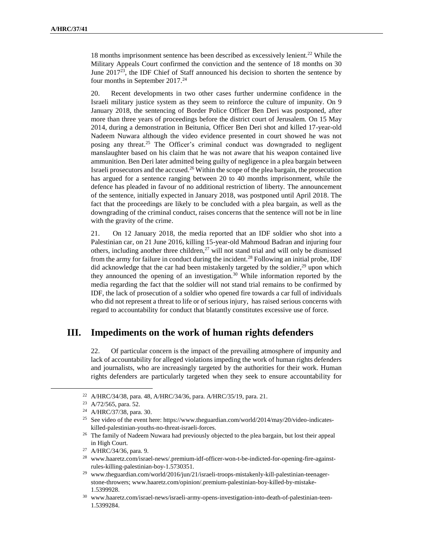18 months imprisonment sentence has been described as excessively lenient.<sup>22</sup> While the Military Appeals Court confirmed the conviction and the sentence of 18 months on 30 June  $2017^{23}$ , the IDF Chief of Staff announced his decision to shorten the sentence by four months in September 2017.<sup>24</sup>

20. Recent developments in two other cases further undermine confidence in the Israeli military justice system as they seem to reinforce the culture of impunity. On 9 January 2018, the sentencing of Border Police Officer Ben Deri was postponed, after more than three years of proceedings before the district court of Jerusalem. On 15 May 2014, during a demonstration in Beitunia, Officer Ben Deri shot and killed 17-year-old Nadeem Nuwara although the video evidence presented in court showed he was not posing any threat.<sup>25</sup> The Officer's criminal conduct was downgraded to negligent manslaughter based on his claim that he was not aware that his weapon contained live ammunition. Ben Deri later admitted being guilty of negligence in a plea bargain between Israeli prosecutors and the accused.<sup>26</sup> Within the scope of the plea bargain, the prosecution has argued for a sentence ranging between 20 to 40 months imprisonment, while the defence has pleaded in favour of no additional restriction of liberty. The announcement of the sentence, initially expected in January 2018, was postponed until April 2018. The fact that the proceedings are likely to be concluded with a plea bargain, as well as the downgrading of the criminal conduct, raises concerns that the sentence will not be in line with the gravity of the crime.

21. On 12 January 2018, the media reported that an IDF soldier who shot into a Palestinian car, on 21 June 2016, killing 15-year-old Mahmoud Badran and injuring four others, including another three children, $27$  will not stand trial and will only be dismissed from the army for failure in conduct during the incident.<sup>28</sup> Following an initial probe, IDF did acknowledge that the car had been mistakenly targeted by the soldier, $29$  upon which they announced the opening of an investigation.<sup>30</sup> While information reported by the media regarding the fact that the soldier will not stand trial remains to be confirmed by IDF, the lack of prosecution of a soldier who opened fire towards a car full of individuals who did not represent a threat to life or of serious injury, has raised serious concerns with regard to accountability for conduct that blatantly constitutes excessive use of force.

# **III. Impediments on the work of human rights defenders**

22. Of particular concern is the impact of the prevailing atmosphere of impunity and lack of accountability for alleged violations impeding the work of human rights defenders and journalists, who are increasingly targeted by the authorities for their work. Human rights defenders are particularly targeted when they seek to ensure accountability for

 $\overline{a}$ 

<sup>22</sup> A/HRC/34/38, para. 48, A/HRC/34/36, para. A/HRC/35/19, para. 21.

<sup>23</sup> A/72/565, para. 52.

<sup>24</sup> A/HRC/37/38, para. 30.

<sup>&</sup>lt;sup>25</sup> See video of the event here: https://www.theguardian.com/world/2014/may/20/video-indicateskilled-palestinian-youths-no-threat-israeli-forces.

<sup>&</sup>lt;sup>26</sup> The family of Nadeem Nuwara had previously objected to the plea bargain, but lost their appeal in High Court.

<sup>27</sup> A/HRC/34/36, para. 9.

<sup>28</sup> www.haaretz.com/israel-news/.premium-idf-officer-won-t-be-indicted-for-opening-fire-againstrules-killing-palestinian-boy-1.5730351.

<sup>29</sup> [www.theguardian.com/world/2016/jun/21/israeli-troops-mistakenly-kill-palestinian-teenager](http://www.theguardian.com/world/2016/jun/21/israeli-troops-mistakenly-kill-palestinian-teenager-stone-throwers)[stone-throwers;](http://www.theguardian.com/world/2016/jun/21/israeli-troops-mistakenly-kill-palestinian-teenager-stone-throwers) www.haaretz.com/opinion/.premium-palestinian-boy-killed-by-mistake-1.5399928.

<sup>30</sup> www.haaretz.com/israel-news/israeli-army-opens-investigation-into-death-of-palestinian-teen-1.5399284.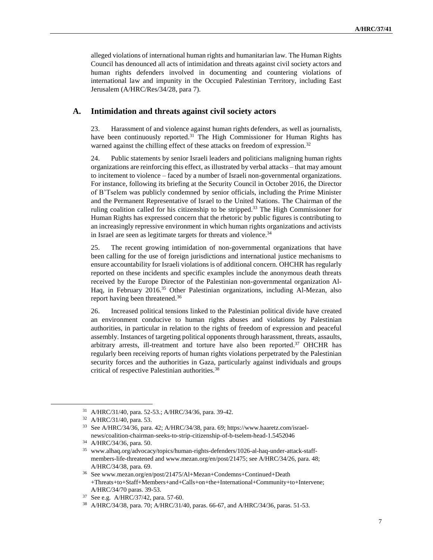alleged violations of international human rights and humanitarian law. The Human Rights Council has denounced all acts of intimidation and threats against civil society actors and human rights defenders involved in documenting and countering violations of international law and impunity in the Occupied Palestinian Territory, including East Jerusalem (A/HRC/Res/34/28, para 7).

#### **A. Intimidation and threats against civil society actors**

23. Harassment of and violence against human rights defenders, as well as journalists, have been continuously reported.<sup>31</sup> The High Commissioner for Human Rights has warned against the chilling effect of these attacks on freedom of expression.<sup>32</sup>

24. Public statements by senior Israeli leaders and politicians maligning human rights organizations are reinforcing this effect, as illustrated by verbal attacks – that may amount to incitement to violence – faced by a number of Israeli non-governmental organizations. For instance, following its briefing at the Security Council in October 2016, the Director of B'Tselem was publicly condemned by senior officials, including the Prime Minister and the Permanent Representative of Israel to the United Nations. The Chairman of the ruling coalition called for his citizenship to be stripped.<sup>33</sup> The High Commissioner for Human Rights has expressed concern that the rhetoric by public figures is contributing to an increasingly repressive environment in which human rights organizations and activists in Israel are seen as legitimate targets for threats and violence.<sup>34</sup>

25. The recent growing intimidation of non-governmental organizations that have been calling for the use of foreign jurisdictions and international justice mechanisms to ensure accountability for Israeli violations is of additional concern. OHCHR has regularly reported on these incidents and specific examples include the anonymous death threats received by the Europe Director of the Palestinian non-governmental organization Al-Haq, in February 2016.<sup>35</sup> Other Palestinian organizations, including Al-Mezan, also report having been threatened.<sup>36</sup>

26. Increased political tensions linked to the Palestinian political divide have created an environment conducive to human rights abuses and violations by Palestinian authorities, in particular in relation to the rights of freedom of expression and peaceful assembly. Instances of targeting political opponents through harassment, threats, assaults, arbitrary arrests, ill-treatment and torture have also been reported.<sup>37</sup> OHCHR has regularly been receiving reports of human rights violations perpetrated by the Palestinian security forces and the authorities in Gaza, particularly against individuals and groups critical of respective Palestinian authorities.<sup>38</sup>

<sup>31</sup> A/HRC/31/40, para. 52-53.; A/HRC/34/36, para. 39-42.

<sup>32</sup> A/HRC/31/40, para. 53.

<sup>33</sup> See A/HRC/34/36, para. 42; A/HRC/34/38, para. 69; https://www.haaretz.com/israelnews/coalition-chairman-seeks-to-strip-citizenship-of-b-tselem-head-1.5452046

<sup>34</sup> A/HRC/34/36, para. 50.

<sup>35</sup> www.alhaq.org/advocacy/topics/human-rights-defenders/1026-al-haq-under-attack-staffmembers-life-threatened an[d www.mezan.org/en/post/21475;](http://www.mezan.org/en/post/21475) see A/HRC/34/26, para. 48; A/HRC/34/38, para. 69.

<sup>36</sup> See www.mezan.org/en/post/21475/Al+Mezan+Condemns+Continued+Death +Threats+to+Staff+Members+and+Calls+on+the+International+Community+to+Intervene; A/HRC/34/70 paras. 39-53.

<sup>37</sup> See e.g. A/HRC/37/42, para. 57-60.

<sup>38</sup> A/HRC/34/38, para. 70; A/HRC/31/40, paras. 66-67, and A/HRC/34/36, paras. 51-53.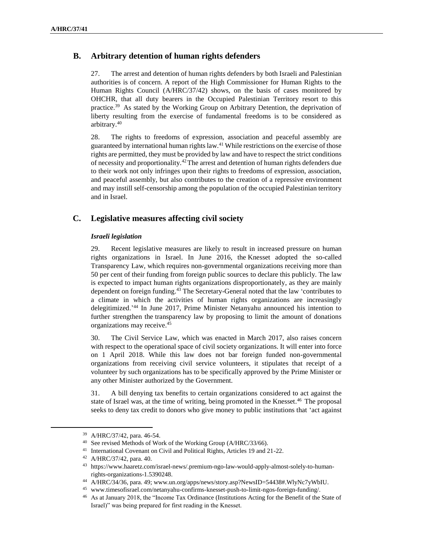### **B. Arbitrary detention of human rights defenders**

27. The arrest and detention of human rights defenders by both Israeli and Palestinian authorities is of concern. A report of the High Commissioner for Human Rights to the Human Rights Council (A/HRC/37/42) shows, on the basis of cases monitored by OHCHR, that all duty bearers in the Occupied Palestinian Territory resort to this practice.<sup>39</sup> As stated by the Working Group on Arbitrary Detention, the deprivation of liberty resulting from the exercise of fundamental freedoms is to be considered as arbitrary.<sup>40</sup>

28. The rights to freedoms of expression, association and peaceful assembly are guaranteed by international human rights law.<sup>41</sup> While restrictions on the exercise of those rights are permitted, they must be provided by law and have to respect the strict conditions of necessity and proportionality.<sup>42</sup>The arrest and detention of human rights defenders due to their work not only infringes upon their rights to freedoms of expression, association, and peaceful assembly, but also contributes to the creation of a repressive environment and may instill self-censorship among the population of the occupied Palestinian territory and in Israel.

### **C. Legislative measures affecting civil society**

#### *Israeli legislation*

29. Recent legislative measures are likely to result in increased pressure on human rights organizations in Israel. In June 2016, the Knesset adopted the so-called Transparency Law, which requires non-governmental organizations receiving more than 50 per cent of their funding from foreign public sources to declare this publicly. The law is expected to impact human rights organizations disproportionately, as they are mainly dependent on foreign funding. <sup>43</sup> The Secretary-General noted that the law 'contributes to a climate in which the activities of human rights organizations are increasingly delegitimized.'<sup>44</sup> In June 2017, Prime Minister Netanyahu announced his intention to further strengthen the transparency law by proposing to limit the amount of donations organizations may receive. 45

30. The Civil Service Law, which was enacted in March 2017, also raises concern with respect to the operational space of civil society organizations. It will enter into force on 1 April 2018. While this law does not bar foreign funded non-governmental organizations from receiving civil service volunteers, it stipulates that receipt of a volunteer by such organizations has to be specifically approved by the Prime Minister or any other Minister authorized by the Government.

31. A bill denying tax benefits to certain organizations considered to act against the state of Israel was, at the time of writing, being promoted in the Knesset.<sup>46</sup> The proposal seeks to deny tax credit to donors who give money to public institutions that 'act against

<sup>39</sup> A/HRC/37/42, para. 46-54.

<sup>40</sup> See revised Methods of Work of the Working Group (A/HRC/33/66).

<sup>41</sup> International Covenant on Civil and Political Rights, Articles 19 and 21-22.

<sup>42</sup> A/HRC/37/42, para. 40.

<sup>43</sup> https://www.haaretz.com/israel-news/.premium-ngo-law-would-apply-almost-solely-to-humanrights-organizations-1.5390248.

<sup>44</sup> A/HRC/34/36, para. 49; www.un.org/apps/news/story.asp?NewsID=54438#.WlyNc7yWbIU.

<sup>45</sup> www.timesofisrael.com/netanyahu-confirms-knesset-push-to-limit-ngos-foreign-funding/.

<sup>46</sup> As at January 2018, the "Income Tax Ordinance (Institutions Acting for the Benefit of the State of Israel)" was being prepared for first reading in the Knesset.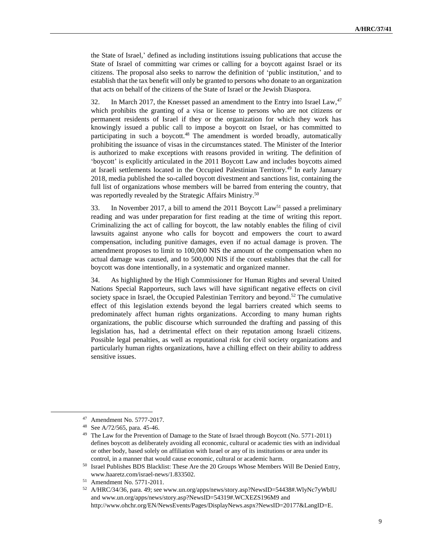the State of Israel,' defined as including institutions issuing publications that accuse the State of Israel of committing war crimes or calling for a boycott against Israel or its citizens. The proposal also seeks to narrow the definition of 'public institution,' and to establish that the tax benefit will only be granted to persons who donate to an organization that acts on behalf of the citizens of the State of Israel or the Jewish Diaspora.

32. In March 2017, the Knesset passed an amendment to the Entry into Israel Law,  $47$ which prohibits the granting of a visa or license to persons who are not citizens or permanent residents of Israel if they or the organization for which they work has knowingly issued a public call to impose a boycott on Israel, or has committed to participating in such a boycott.<sup>48</sup> The amendment is worded broadly, automatically prohibiting the issuance of visas in the circumstances stated. The Minister of the Interior is authorized to make exceptions with reasons provided in writing. The definition of 'boycott' is explicitly articulated in the 2011 Boycott Law and includes boycotts aimed at Israeli settlements located in the Occupied Palestinian Territory.<sup>49</sup> In early January 2018, media published the so-called boycott divestment and sanctions list, containing the full list of organizations whose members will be barred from entering the country, that was reportedly revealed by the Strategic Affairs Ministry.<sup>50</sup>

33. In November 2017, a bill to amend the 2011 Boycott Law<sup>51</sup> passed a preliminary reading and was under preparation for first reading at the time of writing this report. Criminalizing the act of calling for boycott, the law notably enables the filing of civil lawsuits against anyone who calls for boycott and empowers the court to award compensation, including punitive damages, even if no actual damage is proven. The amendment proposes to limit to 100,000 NIS the amount of the compensation when no actual damage was caused, and to 500,000 NIS if the court establishes that the call for boycott was done intentionally, in a systematic and organized manner.

34. As highlighted by the High Commissioner for Human Rights and several United Nations Special Rapporteurs, such laws will have significant negative effects on civil society space in Israel, the Occupied Palestinian Territory and beyond.<sup>52</sup> The cumulative effect of this legislation extends beyond the legal barriers created which seems to predominately affect human rights organizations. According to many human rights organizations, the public discourse which surrounded the drafting and passing of this legislation has, had a detrimental effect on their reputation among Israeli citizens. Possible legal penalties, as well as reputational risk for civil society organizations and particularly human rights organizations, have a chilling effect on their ability to address sensitive issues.

 $\overline{a}$ 

<sup>47</sup> Amendment No. 5777-2017.

<sup>48</sup> See A/72/565, para. 45-46.

<sup>49</sup> The Law for the Prevention of Damage to the State of Israel through Boycott (No. 5771-2011) defines boycott as deliberately avoiding all economic, cultural or academic ties with an individual or other body, based solely on affiliation with Israel or any of its institutions or area under its control, in a manner that would cause economic, cultural or academic harm.

<sup>50</sup> Israel Publishes BDS Blacklist: These Are the 20 Groups Whose Members Will Be Denied Entry, www.haaretz.com/israel-news/1.833502.

<sup>51</sup> Amendment No. 5771-2011.

<sup>52</sup> A/HRC/34/36, para. 49; see www.un.org/apps/news/story.asp?NewsID=54438#.WlyNc7yWbIU and [www.un.org/apps/news/story.asp?NewsID=54319#.WCXEZS196M9](http://www.un.org/apps/news/story.asp?NewsID=54319#.WCXEZS196M9) and http://www.ohchr.org/EN/NewsEvents/Pages/DisplayNews.aspx?NewsID=20177&LangID=E.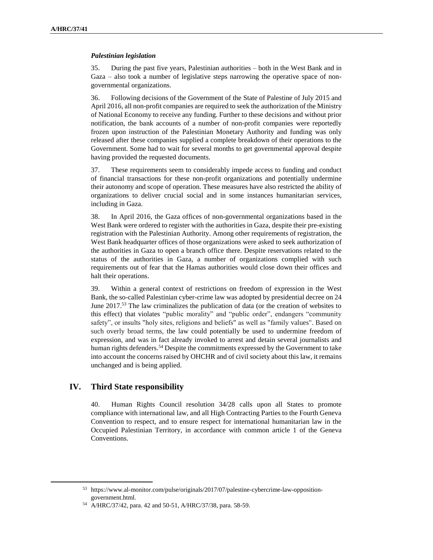#### *Palestinian legislation*

35. During the past five years, Palestinian authorities – both in the West Bank and in Gaza – also took a number of legislative steps narrowing the operative space of nongovernmental organizations.

36. Following decisions of the Government of the State of Palestine of July 2015 and April 2016, all non-profit companies are required to seek the authorization of the Ministry of National Economy to receive any funding. Further to these decisions and without prior notification, the bank accounts of a number of non-profit companies were reportedly frozen upon instruction of the Palestinian Monetary Authority and funding was only released after these companies supplied a complete breakdown of their operations to the Government. Some had to wait for several months to get governmental approval despite having provided the requested documents.

37. These requirements seem to considerably impede access to funding and conduct of financial transactions for these non-profit organizations and potentially undermine their autonomy and scope of operation. These measures have also restricted the ability of organizations to deliver crucial social and in some instances humanitarian services, including in Gaza.

38. In April 2016, the Gaza offices of non-governmental organizations based in the West Bank were ordered to register with the authorities in Gaza, despite their pre-existing registration with the Palestinian Authority. Among other requirements of registration, the West Bank headquarter offices of those organizations were asked to seek authorization of the authorities in Gaza to open a branch office there. Despite reservations related to the status of the authorities in Gaza, a number of organizations complied with such requirements out of fear that the Hamas authorities would close down their offices and halt their operations.

39. Within a general context of restrictions on freedom of expression in the West Bank, the so-called Palestinian cyber-crime law was adopted by presidential decree on 24 June 2017.<sup>53</sup> The law criminalizes the publication of data (or the creation of websites to this effect) that violates "public morality" and "public order", endangers "community safety", or insults "holy sites, religions and beliefs" as well as "family values". Based on such overly broad terms, the law could potentially be used to undermine freedom of expression, and was in fact already invoked to arrest and detain several journalists and human rights defenders.<sup>54</sup> Despite the commitments expressed by the Government to take into account the concerns raised by OHCHR and of civil society about this law, it remains unchanged and is being applied.

### **IV. Third State responsibility**

l

40. Human Rights Council resolution 34/28 calls upon all States to promote compliance with international law, and all High Contracting Parties to the Fourth Geneva Convention to respect, and to ensure respect for international humanitarian law in the Occupied Palestinian Territory, in accordance with common article 1 of the Geneva Conventions.

<sup>53</sup> https://www.al-monitor.com/pulse/originals/2017/07/palestine-cybercrime-law-oppositiongovernment.html.

<sup>54</sup> A/HRC/37/42, para. 42 and 50-51, A/HRC/37/38, para. 58-59.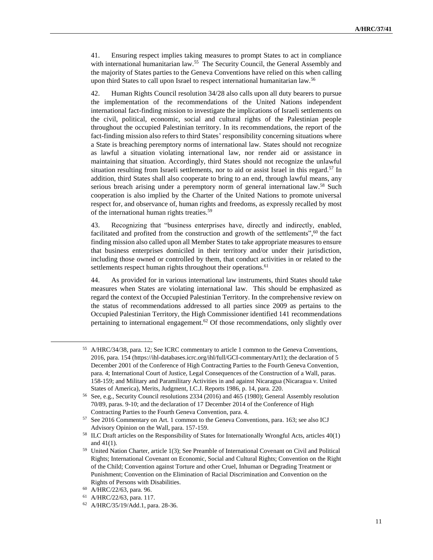41. Ensuring respect implies taking measures to prompt States to act in compliance with international humanitarian law.<sup>55</sup> The Security Council, the General Assembly and the majority of States parties to the Geneva Conventions have relied on this when calling upon third States to call upon Israel to respect international humanitarian law.<sup>56</sup>

42. Human Rights Council resolution 34/28 also calls upon all duty bearers to pursue the implementation of the recommendations of the United Nations independent international fact-finding mission to investigate the implications of Israeli settlements on the civil, political, economic, social and cultural rights of the Palestinian people throughout the occupied Palestinian territory. In its recommendations, the report of the fact-finding mission also refers to third States' responsibility concerning situations where a State is breaching peremptory norms of international law. States should not recognize as lawful a situation violating international law, nor render aid or assistance in maintaining that situation. Accordingly, third States should not recognize the unlawful situation resulting from Israeli settlements, nor to aid or assist Israel in this regard.<sup>57</sup> In addition, third States shall also cooperate to bring to an end, through lawful means, any serious breach arising under a peremptory norm of general international law.<sup>58</sup> Such cooperation is also implied by the Charter of the United Nations to promote universal respect for, and observance of, human rights and freedoms, as expressly recalled by most of the international human rights treaties.<sup>59</sup>

43. Recognizing that "business enterprises have, directly and indirectly, enabled, facilitated and profited from the construction and growth of the settlements",<sup>60</sup> the fact finding mission also called upon all Member States to take appropriate measures to ensure that business enterprises domiciled in their territory and/or under their jurisdiction, including those owned or controlled by them, that conduct activities in or related to the settlements respect human rights throughout their operations.<sup>61</sup>

44. As provided for in various international law instruments, third States should take measures when States are violating international law. This should be emphasized as regard the context of the Occupied Palestinian Territory. In the comprehensive review on the status of recommendations addressed to all parties since 2009 as pertains to the Occupied Palestinian Territory, the High Commissioner identified 141 recommendations pertaining to international engagement.<sup>62</sup> Of those recommendations, only slightly over

 $\overline{a}$ 

<sup>55</sup> A/HRC/34/38, para. 12; See ICRC commentary to article 1 common to the Geneva Conventions, 2016, para. 154 (https://ihl-databases.icrc.org/ihl/full/GCI-commentaryArt1); the declaration of 5 December 2001 of the Conference of High Contracting Parties to the Fourth Geneva Convention, para. 4; International Court of Justice, Legal Consequences of the Construction of a Wall, paras. 158-159; and Military and Paramilitary Activities in and against Nicaragua (Nicaragua v. United States of America), Merits, Judgment, I.C.J. Reports 1986, p. 14, para. 220.

<sup>56</sup> See, e.g., Security Council resolutions 2334 (2016) and 465 (1980); General Assembly resolution 70/89, paras. 9-10; and the declaration of 17 December 2014 of the Conference of High Contracting Parties to the Fourth Geneva Convention, para. 4.

<sup>57</sup> See 2016 Commentary on Art. 1 common to the Geneva Conventions, para. 163; see also ICJ Advisory Opinion on the Wall, para. 157-159.

<sup>58</sup> ILC Draft articles on the Responsibility of States for Internationally Wrongful Acts, articles 40(1) and  $41(1)$ .

<sup>59</sup> United Nation Charter, article 1(3); See Preamble of International Covenant on Civil and Political Rights; International Covenant on Economic, Social and Cultural Rights; Convention on the Right of the Child; Convention against Torture and other Cruel, Inhuman or Degrading Treatment or Punishment; Convention on the Elimination of Racial Discrimination and Convention on the Rights of Persons with Disabilities.

<sup>60</sup> A/HRC/22/63, para. 96.

<sup>61</sup> A/HRC/22/63, para. 117.

<sup>62</sup> A/HRC/35/19/Add.1, para. 28-36.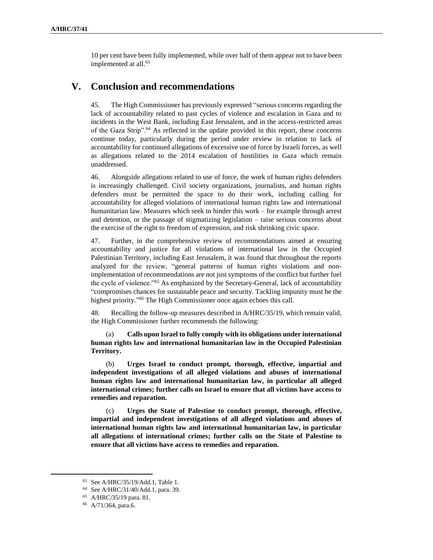10 per cent have been fully implemented, while over half of them appear not to have been implemented at all. 63

# **V. Conclusion and recommendations**

45. The High Commissioner has previously expressed "serious concerns regarding the lack of accountability related to past cycles of violence and escalation in Gaza and to incidents in the West Bank, including East Jerusalem, and in the access-restricted areas of the Gaza Strip".<sup>64</sup> As reflected in the update provided in this report, these concerns continue today, particularly during the period under review in relation to lack of accountability for continued allegations of excessive use of force by Israeli forces, as well as allegations related to the 2014 escalation of hostilities in Gaza which remain unaddressed.

46. Alongside allegations related to use of force, the work of human rights defenders is increasingly challenged. Civil society organizations, journalists, and human rights defenders must be permitted the space to do their work, including calling for accountability for alleged violations of international human rights law and international humanitarian law. Measures which seek to hinder this work – for example through arrest and detention, or the passage of stigmatizing legislation – raise serious concerns about the exercise of the right to freedom of expression, and risk shrinking civic space.

47. Further, in the comprehensive review of recommendations aimed at ensuring accountability and justice for all violations of international law in the Occupied Palestinian Territory, including East Jerusalem, it was found that throughout the reports analyzed for the review, "general patterns of human rights violations and nonimplementation of recommendations are not just symptoms of the conflict but further fuel the cycle of violence."<sup>65</sup> As emphasized by the Secretary-General, lack of accountability "compromises chances for sustainable peace and security. Tackling impunity must be the highest priority."<sup>66</sup> The High Commissioner once again echoes this call.

48. Recalling the follow-up measures described in A/HRC/35/19, which remain valid, the High Commissioner further recommends the following:

(a) **Calls upon Israel to fully comply with its obligations under international human rights law and international humanitarian law in the Occupied Palestinian Territory.** 

(b) **Urges Israel to conduct prompt, thorough, effective, impartial and independent investigations of all alleged violations and abuses of international human rights law and international humanitarian law, in particular all alleged international crimes; further calls on Israel to ensure that all victims have access to remedies and reparation.**

(c) **Urges the State of Palestine to conduct prompt, thorough, effective, impartial and independent investigations of all alleged violations and abuses of international human rights law and international humanitarian law, in particular all allegations of international crimes; further calls on the State of Palestine to ensure that all victims have access to remedies and reparation.**

<sup>63</sup> See A/HRC/35/19/Add.1, Table 1.

<sup>64</sup> See A/HRC/31/40/Add.1, para. 39.

<sup>65</sup> A/HRC/35/19 para. 81.

<sup>66</sup> A/71/364, para.6.